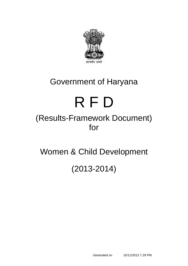

# Government of Haryana

# R F D

# (Results-Framework Document) for

Women & Child Development

(2013-2014)

Generated on 15/11/2013 7.29 PM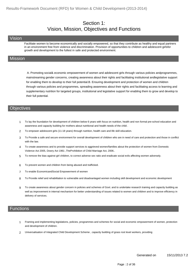#### Section 1: Vision, Mission, Objectives and Functions

#### Vision

Facilitate women to become economically and socially empowered, so that they contribute as healthy and equal partners in an environment free from violence and discrimination. Provision of opportunities to children and adolescent girlsfor growth and development to the fullest in safe and protected environment.

#### **Mission**

 A. Promoting social& economic empowerment of women and adolescent girls through various policies andprogrammes, mainstreaming gender concerns, creating awareness about their rights and facilitating institutional andlegislative support for enabling them to develop to their full potential.B. Ensuring development and protection of women and children through various policies and programmes, spreading awareness about their rights and facilitating access to learning and supplementary nutrition for targeted groups, institutional and legislative support for enabling them to grow and develop to their full potential.

#### **Objectives**

- 1 To lay the foundation for development of children below 6 years with focus on nutrition, health and non formal pre-school education and awareness and capacity building for mothers about nutritional and health needs of the child .
- 2 To empower adolescent girls (11-18 years) through nutrition, health care and life skill education.
- 3 To Provide a safe and secure environment for overall development of children who are in need of care and protection and those in conflict with the law.
- 4 To create awareness and to provide support services to aggrieved women/families about the protection of women from Domestic Violence Act 2005, Dowry Act 1961 ,TheProhibition of Child Marriage Act, 2006..
- 5 To remove the bias against girl children, to correct adverse sex ratio and eradicate social evils affecting women adversely.
- 6 To prevent women and children from being abused and trafficked.
- 7 To enable EconomicandSocial Empowerment of women
- 8 To Provide relief and rehabilitation to vulnerable and disadvantaged women including skill development and economic development
- 9 To create awareness about gender concern in policies and schemes of Govt. and to undertake research training and capacity building as well as improvement in internal mechanism for better understanding of issues related to women and children and to improve efficiency in delivery of services.

#### $\frac{1}{2}$ unctions

- 1 Framing and implementing legislations, policies, programmes and schemes for social and economic empowerment of women, protection and development of children.
- 2 Universalisation of Integrated Child Development Scheme , capacity building of grass root level workers, providing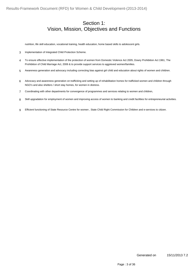#### Section 1: Vision, Mission, Objectives and Functions

nutrition, life skill education, vocational training, health education, home based skills to adolescent girls.

- 3 Implementation of Integrated Child Protection Scheme.
- To ensure effective implementation of the protection of women from Domestic Violence Act 2005, Dowry Prohibition Act 1961, The Prohibition of Child Marriage Act, 2006 & to provide support services to aggrieved women/families. 4
- 5 Awareness generation and advocacy including correcting bias against girl child and education about rights of women and children.
- 6 Advocacy and awareness generation on trafficking and setting up of rehabilitation homes for trafficked women and children through NGO's and also shelters / short stay homes, for women in distress.
- 7 Coordinating with other departments for convergence of programmes and services relating to women and children,
- 8 Skill upgradation for employment of women and improving access of women to banking and credit facilities for entrepreneurial activities.
- 9 Efficient functioning of State Resource Centre for women , State Child Right Commission for Children and e-services to citizen.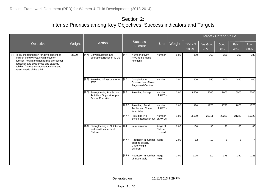|                                                                                                                                                                                                                                                         |        |                                                                                             |         |                                                                                  |                                |        |           |           | Target / Criteria Value |       |       |
|---------------------------------------------------------------------------------------------------------------------------------------------------------------------------------------------------------------------------------------------------------|--------|---------------------------------------------------------------------------------------------|---------|----------------------------------------------------------------------------------|--------------------------------|--------|-----------|-----------|-------------------------|-------|-------|
| Objective                                                                                                                                                                                                                                               | Weight | Action                                                                                      |         | <b>Success</b><br>Indicator                                                      | <b>Unit</b>                    | Weight | Excellent | Very Good | Good                    | Fair  | Poor  |
|                                                                                                                                                                                                                                                         |        |                                                                                             |         |                                                                                  |                                |        | 100%      | 90%       | 80%                     | 70%   | 60%   |
| [1] To lay the foundation for development of<br>children below 6 years with focus on<br>nutrition, health and non formal pre-school<br>education and awareness and capacity<br>building for mothers about nutritional and<br>health needs of the child. | 35.00  | [1.1]<br>Universalization and<br>operationalization of ICDS                                 | [1.1.1] | Number of New<br>AWC to be made<br>functional                                    | Number                         | 5.00   | 380       | 360       | 330                     | 300   | 280   |
|                                                                                                                                                                                                                                                         |        | [1.2] Providing Infrastructure for<br>AWC                                                   | [1.2.1] | Completion of<br><b>Construction of New</b><br>Anganwari Centres                 | <b>Number</b>                  | 3.00   | 600       | 550       | 500                     | 450   | 400   |
|                                                                                                                                                                                                                                                         |        | <b>Strengthening Pre School</b><br>[1.3]<br>Activities/ Support for pre<br>School Education |         | [1.3.1] Providing Swings                                                         | Number<br>of AWCs              | 3.00   | 8500      | 8000      | 7000                    | 6000  | 5000  |
|                                                                                                                                                                                                                                                         |        |                                                                                             |         | [1.3.2] Providing Small<br>Tables and Chairs<br>for children                     | Number<br>of AWCs              | 2.00   | 1970      | 1875      | 1775                    | 1675  | 1575  |
|                                                                                                                                                                                                                                                         |        |                                                                                             |         | [1.3.3] Providing Pre-<br>School Education Kit of AWCs                           | <b>Number</b>                  | 1.00   | 25699     | 25311     | 23223                   | 21223 | 19223 |
|                                                                                                                                                                                                                                                         |        | Strengthening of Nutritional [1.4.1]<br>[1.4]<br>and health aspects of<br>Children          |         | Immunization                                                                     | %age of<br>Children<br>covered | 2.00   | 100       | 95        | 90                      | 85    | 80    |
|                                                                                                                                                                                                                                                         |        |                                                                                             |         | [1.4.2] Reduction in number  %age<br>existing severly<br>Underweight<br>children |                                | 2.00   | 12        | 10        | 8                       | 6     |       |
|                                                                                                                                                                                                                                                         |        |                                                                                             |         | [1.4.3] Reduction in number<br>of moderately                                     | %age<br>Point                  | 2.00   | 2.25      | 2.0       | 1.75                    | 1.50  | 1.25  |

Generated on 15/11/2013 7.29 PM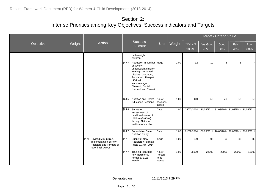|           |        |                                                                                                       |         |                                                                                                                                                                                                                   |                                      |        | Target / Criteria Value |                                             |       |                                  |                |
|-----------|--------|-------------------------------------------------------------------------------------------------------|---------|-------------------------------------------------------------------------------------------------------------------------------------------------------------------------------------------------------------------|--------------------------------------|--------|-------------------------|---------------------------------------------|-------|----------------------------------|----------------|
| Objective | Weight | Action                                                                                                |         | <b>Success</b><br>Indicator                                                                                                                                                                                       | <b>Unit</b>                          | Weight | Excellent               | Very Good                                   | Good  | Fair                             | Poor           |
|           |        |                                                                                                       |         |                                                                                                                                                                                                                   |                                      |        | 100%                    | 90%                                         | 80%   | 70%                              | 60%            |
|           |        |                                                                                                       |         | underweight<br>children                                                                                                                                                                                           |                                      |        |                         |                                             |       |                                  |                |
|           |        |                                                                                                       |         | [1.4.4] Reduction in number  %age<br>of severly<br>underweight children<br>in 9 high burdened<br>districts Gurgaon,<br>Faridabad, Panipat<br>, Kaithal,<br>Yamunanagar,<br>Bhiwani, Rohtak,<br>Narnaul and Rewari |                                      | 2.00   | 12                      | 10                                          | 8     | $6 \mid$                         | $\overline{4}$ |
|           |        |                                                                                                       |         | [1.4.5] Nutrition and Health<br><b>Education Sessions</b>                                                                                                                                                         | No. of<br>sessions<br>in lacs        | 1.00   | 8.0                     | 7.6                                         | 7.0   | 6.5                              | 6.0            |
|           |        |                                                                                                       |         | $[1.4.6]$ Survey of<br>assessment of<br>nutritional status of<br>children (0-6 Yrs)<br>through National<br>Institute of nutrition                                                                                 | Date                                 | 1.00   | 28/02/2014              | 31/03/2014 31/03/2014 31/03/2014 31/03/2014 |       |                                  |                |
|           |        |                                                                                                       |         | [1.4.7] Formulation State<br><b>Nutrition Policy</b>                                                                                                                                                              | Date                                 | 1.00   | 01/02/2014              | 01/03/2014                                  |       | 10/03/2014 20/03/2014 31/03/2014 |                |
|           |        | [1.5] Revised MIS in ICDS -<br>Implementation of New<br>Registers and Formats of<br>reporting in AWCs | [1.5.1] | Supply of New<br>Registers / Formats<br>(upto 31 Jan. 2014)                                                                                                                                                       | %age                                 | 1.00   | 100                     | 95                                          | 90    | 85                               | 80             |
|           |        |                                                                                                       |         | [1.5.2] Training regarding<br>new Registers /<br>format by 31st<br>March                                                                                                                                          | No. of<br>Person<br>to be<br>trained | 1.00   | 26000                   | 24000                                       | 22000 | 20000                            | 18000          |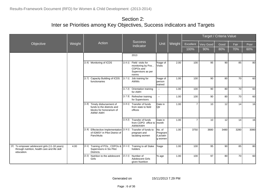|                                                                                                              |        |                                                                                                              |         |                                                                                            |                                            |        |                |           | Target / Criteria Value |      |      |
|--------------------------------------------------------------------------------------------------------------|--------|--------------------------------------------------------------------------------------------------------------|---------|--------------------------------------------------------------------------------------------|--------------------------------------------|--------|----------------|-----------|-------------------------|------|------|
| Objective                                                                                                    | Weight | Action                                                                                                       |         | <b>Success</b><br>Indicator                                                                | Unit                                       | Weight | Excellent      | Very Good | Good                    | Fair | Poor |
|                                                                                                              |        |                                                                                                              |         |                                                                                            |                                            |        | 100%           | 90%       | 80%                     | 70%  | 60%  |
|                                                                                                              |        |                                                                                                              |         | 2013                                                                                       |                                            |        |                |           |                         |      |      |
|                                                                                                              |        | [1.6] Monitoring of ICDS                                                                                     |         | [1.6.1] Field visits for<br>monitoring by Pos,<br>CDPOs and<br>Supervisors as per<br>norms | %age of<br><b>Visits</b>                   | 2.00   | 100            | 95        | 90                      | 85   | 80   |
|                                                                                                              |        | [1.7] Capacity Building of ICDS<br>functionaries                                                             | [1.7.1] | Job training for<br><b>AWWs</b>                                                            | %age of<br>person<br>trained               | 1.00   | 100            | 90        | 80                      | 70   | 60   |
|                                                                                                              |        |                                                                                                              |         | [1.7.2] Orientation training<br>for AWH                                                    | $\omega_{\rm{m}}$                          | 1.00   | 100            | 90        | 80                      | 70   | 60   |
|                                                                                                              |        |                                                                                                              |         | [1.7.3] Refresher training<br>for Supervisors                                              | $\mathbf{L}$                               | 1.00   | 100            | 90        | 80                      | 70   | 60   |
|                                                                                                              |        | [1.8] Timely disbursement of<br>funds to the districts and<br>blocks for honorarium of<br>AWW/ AWH           |         | [1.8.1] Transfer of funds<br>from state to field<br>offices                                | Date in<br><b>Q</b> tr                     | 1.00   | $\overline{7}$ | 10        | 12                      | 14   | 16   |
|                                                                                                              |        |                                                                                                              |         | [1.8.2] Transfer of funds<br>from CDPO office to   month<br>AWW/AWH                        | Date in                                    | 1.00   | $\overline{7}$ | 10        | 12                      | 14   | 16   |
|                                                                                                              |        | [1.9] Effectective Implementation [1.9.1] Transfer of funds to<br>of IGMSY in Pilot District of<br>Panchkula |         | pregnant and<br>lactating women                                                            | No. of<br>Pregnant<br>/Lactatin<br>g women | 1.00   | 3750           | 3680      | 3480                    | 3280 | 3080 |
| [2] To empower adolescent girls (11-18 years)<br>through nutrition, health care and life skill<br>education. | 4.00   | Training of POs, CDPOs & [2.1.1]<br>[2.1]<br>Supervisors in Six Pilot<br>Districts.                          |         | Training to all Stake<br>holders                                                           | %age                                       | 1.00   | 100            | 95        | 90                      | 85   | 80   |
|                                                                                                              |        | [2.2]<br>Nutrition to the adolescent<br>Girls                                                                | [2.2.1] | Number of<br><b>Adolescent Girls</b><br>given Nutrition                                    | % age                                      | 1.00   | 100            | 97        | 80                      | 70   | 60   |

Generated on 15/11/2013 7.29 PM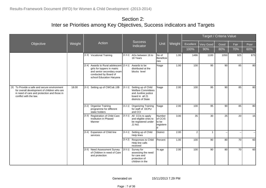|                                                                                                                                                                      |        |                                                                                                                                                           |         |                                                                                                                   |                                         |        |                |              | Target / Criteria Value |      |      |
|----------------------------------------------------------------------------------------------------------------------------------------------------------------------|--------|-----------------------------------------------------------------------------------------------------------------------------------------------------------|---------|-------------------------------------------------------------------------------------------------------------------|-----------------------------------------|--------|----------------|--------------|-------------------------|------|------|
| Objective                                                                                                                                                            | Weight | Action                                                                                                                                                    |         | <b>Success</b><br>Indicator                                                                                       | Unit                                    | Weight | Excellent      | Very Good    | Good                    | Fair | Poor |
|                                                                                                                                                                      |        |                                                                                                                                                           |         |                                                                                                                   |                                         |        | 100%           | 90%          | 80%                     | 70%  | 60%  |
|                                                                                                                                                                      |        | [2.3] Vocational Training                                                                                                                                 |         | [2.3.1] AGs between 16 to<br>18 Years                                                                             | No of<br>Beneficie<br>ries              | 1.00   | 1486           | 1100         | 1050                    | 925  | 875  |
|                                                                                                                                                                      |        | [2.4] Awards to Rural adolescent [2.4.1]<br>girls for toppers in matric<br>and senior secondary exam<br>conducted by Board of<br>school Education Haryana |         | Awards to be<br>distributed at the<br>blocks level                                                                | %age                                    | 1.00   | 100            | 95           | 90                      | 85   | 80   |
| [3] To Provide a safe and secure environment<br>for overall development of children who are<br>in need of care and protection and those in<br>conflict with the law. | 18.00  | Setting up of CWCs& JJB<br>[3.1]                                                                                                                          | [3.1.1] | Setting up of Child<br><b>Welfare Committees</b><br>and Juviline justice<br>board in all 21<br>districts of State | %age                                    | 2.00   | 100            | 95           | 90                      | 85   | 80   |
|                                                                                                                                                                      |        | [3.2] Organise Training<br>programme for different<br>stake holders                                                                                       |         | [3.2.1] Organizing Training<br>for staff of DCPU<br>and CCI                                                       | %age                                    | 2.00   | 100            | 95           | 90                      | 85   | 80   |
|                                                                                                                                                                      |        | Registration of Child Care<br>[3.3]<br>Institution in Phased<br>Manner                                                                                    |         | [3.3.1] All CCIs to apply<br>and eligible ones to<br>be registered under<br>JJ Act.                               | Number<br>of CCIS<br>to be<br>registere | 3.00   | 35             | 30           | 25                      | 20   | 15   |
|                                                                                                                                                                      |        | Expansion of Child line<br>[3.4]<br>services                                                                                                              | [3.4.1] | Setting up of Child<br>Help lines                                                                                 | District                                | 2.00   | $\overline{2}$ | $\mathbf{1}$ | Щ.                      |      |      |
|                                                                                                                                                                      |        |                                                                                                                                                           |         | [3.4.2] Responses to Child<br>Help line calls<br>received                                                         | Percent                                 | 1.00   | 100            | 90           | 80                      | 70   | 60   |
|                                                                                                                                                                      |        | [3.5] Need Assessment Survey<br>of Children in need of Care<br>and protection                                                                             | [3.5.1] | Survey for<br>assessing the need<br>for care and<br>protection of<br>children in the                              | % age                                   | 2.00   | 100            | 90           | 80                      | 70   | 60   |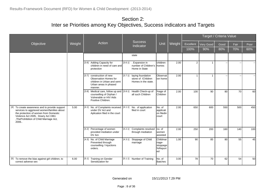|                                                                                                                                                                                                                              |        |                                                                                                                                         |         |                                                                        |                                                 |        |                  |                         | Target / Criteria Value |      |      |
|------------------------------------------------------------------------------------------------------------------------------------------------------------------------------------------------------------------------------|--------|-----------------------------------------------------------------------------------------------------------------------------------------|---------|------------------------------------------------------------------------|-------------------------------------------------|--------|------------------|-------------------------|-------------------------|------|------|
| Objective                                                                                                                                                                                                                    | Weight | Action                                                                                                                                  |         | <b>Success</b><br>Indicator                                            | Unit                                            | Weight | <b>Excellent</b> | Very Good               | Good                    | Fair | Poor |
|                                                                                                                                                                                                                              |        |                                                                                                                                         |         |                                                                        |                                                 |        | 100%             | 90%                     | 80%                     | 70%  | 60%  |
|                                                                                                                                                                                                                              |        |                                                                                                                                         | state   |                                                                        |                                                 |        |                  |                         |                         |      |      |
|                                                                                                                                                                                                                              |        | [3.6] Adding Capacity for<br>children in need of care and<br>protection                                                                 | [3.6.1] | . Expansion in<br>number of Children's<br>Home in State                | <b>children</b><br><b>homes</b>                 | 2.00   | $\overline{2}$   | $\overline{1}$          |                         |      |      |
|                                                                                                                                                                                                                              |        | [3.7] construction of new<br>Observation Homes for<br>children in Urban and semi<br>Urban areas in phased<br>manner.                    |         | [3.7.1] laying foundation<br>stone of /Children<br>Homes in the state. | Observat<br>lion home                           | 2.00   | 1                | $\overline{\mathbf{1}}$ |                         |      |      |
|                                                                                                                                                                                                                              |        | [3.8] Medical care, follow up and [3.8.1] Health Check-up of<br>counselling of Orphan /<br>Vulnerable or HIV Aids<br>Positive Children. |         | all such Children                                                      | %age of<br>Children                             | 2.00   | 100              | 90                      | 80                      | 70   | 60   |
| [4] To create awareness and to provide support<br>services to aggrieved women/families about<br>the protection of women from Domestic<br>Violence Act 2005, Dowry Act 1961<br>,TheProhibition of Child Marriage Act,<br>2006 | 5.00   | No. of Complaints received [[4.1.1] No. of application<br>[4.1]<br>under DV Act and<br>Aplication filed in the court                    |         | filed in court                                                         | No. of<br>applicati<br>on filedin<br>court      | 2.00   | 650              | 600                     | 550                     | 500  | 450  |
|                                                                                                                                                                                                                              |        | [4.2] Percentage of women<br>provided mediation under<br>DV Act.                                                                        |         | [4.2.1] Complaints resolved<br>through mediation                       | Ino. of<br>women<br>assisted                    | 2.00   | 250              | 200                     | 160                     | 140  | 100  |
|                                                                                                                                                                                                                              |        | [4.3] No. of Child Marriage<br>Prevented through<br>counselling / Injuctions<br>orders.                                                 |         | [4.3.1] Stoppage of Child<br>marriage                                  | Childmar<br>riage-<br>stoppage<br>%Report<br>ed | 1.00   | 90               | 85                      | 80                      | 55   | 45   |
| [5] To remove the bias against girl children, to<br>correct adverse sex                                                                                                                                                      | 6.00   | Training on Gender<br>[5.1]<br>Sensitization for                                                                                        |         | [5.1.1] Number of Training                                             | No. of<br>Batches                               | 3.00   | 78               | 70                      | 62                      | 54   | 50   |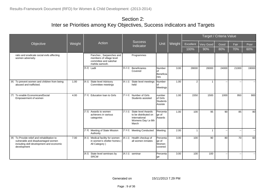|                                                                                                                                              |        |                                                                                                |         |                                                                                             |                                                 |        |                  |           | Target / Criteria Value |                          |       |
|----------------------------------------------------------------------------------------------------------------------------------------------|--------|------------------------------------------------------------------------------------------------|---------|---------------------------------------------------------------------------------------------|-------------------------------------------------|--------|------------------|-----------|-------------------------|--------------------------|-------|
| Objective                                                                                                                                    | Weight | Action                                                                                         |         | <b>Success</b><br>Indicator                                                                 | Unit                                            | Weight | <b>Excellent</b> | Very Good | Good                    | Fair                     | Poor  |
|                                                                                                                                              |        |                                                                                                |         |                                                                                             |                                                 |        | 100%             | 90%       | 80%                     | 70%                      | 60%   |
| ratio and eradicate social evils affecting<br>women adversely.                                                                               |        | Panches, Sarpanches and<br>members of village level<br>committee and sakshar<br>mahila samooh. |         | Programmes                                                                                  |                                                 |        |                  |           |                         |                          |       |
|                                                                                                                                              |        | [5.2] Ladli                                                                                    | [5.2.1] | <b>Beneficiaries</b><br>Covered                                                             | Number<br>lof<br>Beneficia<br>ries              | 3.00   | 28000            | 26000     | 24000                   | 21000                    | 19000 |
| [6] To prevent women and children from being<br>abused and trafficked.                                                                       | 1.00   | State level Advisory<br>[6.1]<br>Committee meetings                                            | [6.1.1] | State level meetings<br>held                                                                | Number<br>οf<br>Meetings                        | 1.00   | $\mathfrak{p}$   | 1         |                         |                          |       |
| [7] To enable EconomicandSocial<br>Empowerment of women                                                                                      | 4.00   | <b>Education loan to Girls</b><br>[7.1]                                                        | [7.1.1] | Number of Girls<br>Students assisted                                                        | number<br>of Girls<br>Students<br>Assiste       | 1.00   | 1550             | 1500      | 1000                    | 950                      | 900   |
|                                                                                                                                              |        | [7.2]<br>Awards to women<br>achievers in various<br>categories                                 | [7.2.1] | State level Awards<br>to be distributed on<br>International<br>Womens Day I, e 8th<br>March | Percenta<br>ge of<br><b>Awards</b>              | 1.00   | 100              | 95        | 90                      | 85                       | 80    |
|                                                                                                                                              |        | [7.3] Meeting of State Mission<br>Authority                                                    |         | [7.3.1] Meeting Conducted                                                                   | Meeting                                         | 2.00   |                  | 1         |                         | $\overline{\phantom{a}}$ |       |
| [8] To Provide relief and rehabilitation to<br>vulnerable and disadvantaged women<br>including skill development and economic<br>development | 7.00   | Medical facility for women<br>[8.1]<br>in women's shelter homes (<br>All Category)             |         | [8.1.1] Health checkup of<br>all women inmates                                              | <b>I</b> Percenta<br>lge of<br>Women<br>covered | 3.00   | 100              | 90        | 80                      | 70                       | 60    |
|                                                                                                                                              |        | $[8.2]$<br>State level seminars by<br><b>SRCW</b>                                              |         | $[8.2.1]$ seminar                                                                           | Percenta<br>ge                                  | 3.00   | 100              | 100       |                         |                          |       |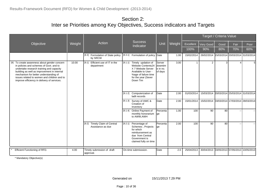|                                                                                                                                                                                                                                                                                                                           |        |                                                       |                                                                                                                                                                 |                                           |        |            |                                             | Target / Criteria Value |                                  |      |
|---------------------------------------------------------------------------------------------------------------------------------------------------------------------------------------------------------------------------------------------------------------------------------------------------------------------------|--------|-------------------------------------------------------|-----------------------------------------------------------------------------------------------------------------------------------------------------------------|-------------------------------------------|--------|------------|---------------------------------------------|-------------------------|----------------------------------|------|
| Objective                                                                                                                                                                                                                                                                                                                 | Weight | Action                                                | <b>Success</b><br>Indicator                                                                                                                                     | Unit                                      | Weight | Excellent  | <b>Very Good</b>                            | Good                    | Fair                             | Poor |
|                                                                                                                                                                                                                                                                                                                           |        |                                                       |                                                                                                                                                                 |                                           |        | 100%       | 90%                                         | 80%                     | 70%                              | 60%  |
|                                                                                                                                                                                                                                                                                                                           |        | [8.3]<br>Formulation of State policy<br>by SRCW       | [8.3.1] Formulation of policy                                                                                                                                   | Date                                      | 1.00   | 15/02/2014 | 26/02/2014                                  |                         | 15/03/2014 20/03/2014 31/03/2014 |      |
| [9] To create awareness about gender concern<br>in policies and schemes of Govt. and to<br>undertake research training and capacity<br>building as well as improvement in internal<br>mechanism for better understanding of<br>issues related to women and children and to<br>improve efficiency in delivery of services. | 10.00  | Efficient use of IT in the<br>[9.1]<br>department     | [9.1.1] Timely updation of<br><b>Website Contents24</b><br>X 7 Website Server<br>Available to User -<br>%age of failure time<br>for the year (Sever<br>Down Tim | Server<br>downtim<br>le in no.<br>of days | 3.00   |            | 2                                           | 3                       |                                  | 5    |
|                                                                                                                                                                                                                                                                                                                           |        |                                                       | [9.1.2] Computerization of<br>ladli records                                                                                                                     | Date                                      | 2.00   | 01/03/2014 | 15/03/2014                                  |                         | 20/03/2014 25/03/2014 31/03/2014 |      |
|                                                                                                                                                                                                                                                                                                                           |        |                                                       | [9.1.3] Survey of AWC &<br>Creation of<br>Inventory                                                                                                             | Date                                      | 2.00   | 15/01/2014 | 15/02/2014 03/03/2014 17/03/2014 28/03/2014 |                         |                                  |      |
|                                                                                                                                                                                                                                                                                                                           |        |                                                       | [9.1.4] Online Payment of<br>monthly honorarium<br>to AWW, AWH                                                                                                  | Percenta<br>lge                           | 1.00   | 100        | 90                                          | 80                      |                                  |      |
|                                                                                                                                                                                                                                                                                                                           |        | Timely Claim of Central<br>[9.2]<br>Assistance as due | [9.2.1] Percentage of<br>Schemes, Projects<br>for which<br>reimbursement as<br>due from Central<br>Government is<br>claimed fully on time                       | Percenta<br>ge                            | 2.00   | 100        | 90                                          | 80                      |                                  |      |
| Efficient Functioning of RFD.                                                                                                                                                                                                                                                                                             | 4.00   | Timely submission of draft<br>approval.               | On-time submisssion.                                                                                                                                            | Date                                      | 2.0    | 25/04/2013 | 30/04/2013                                  |                         | 03/05/2013 07/05/2013 10/05/2013 |      |

\* Mandatory Objective(s)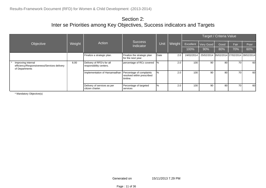|                                                                                     |        |                                                      |                                                                    |      |        |            |            | Target / Criteria Value |                                  |      |
|-------------------------------------------------------------------------------------|--------|------------------------------------------------------|--------------------------------------------------------------------|------|--------|------------|------------|-------------------------|----------------------------------|------|
| Objective                                                                           | Weight | Action                                               | Success<br>Indicator                                               | Unit | Weight | Excellent  | Very Good  | Good                    | Fair                             | Poor |
|                                                                                     |        |                                                      |                                                                    |      |        | 100%       | 90%        | 80%                     | 70%                              | 60%  |
|                                                                                     |        | Finalize a strategic plan.                           | Finalize the strategic plan<br>for the next year.                  | Date | 2.0    | 24/02/2014 | 25/02/2014 |                         | 26/02/2014 27/02/2014 28/02/2014 |      |
| Improving internal<br>efficiency/Responsiveness/Services delivery<br>of Departments | 6.00   | Delivery of RFD's for all<br>responsibility centers. | percentage of RCc covered                                          | '%   | 2.0    | 100        | 90         | 80                      | 70 l                             | 60   |
|                                                                                     |        | Implementation of Harsamadhan                        | Percentage of complaints<br>resolved within prescribed<br>timline. | $\%$ | 2.0    | 100        | 90         | 80                      | 70                               | 60   |
|                                                                                     |        | Delivery of services as per<br>citizen charter.      | Percentage of targeted<br>services                                 | %    | 2.0    | 100        | 90         | 80                      | 70                               | 60   |

\* Mandatory Objective(s)

Generated on 15/11/2013 7.29 PM

Page : 11 of 36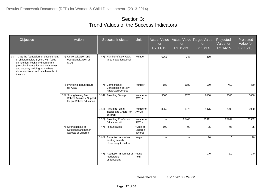| Objective                                                                                                                                                                                                                                                       | Action                                                                            | Success Indicator                                                       | <b>Unit</b>                    | <b>Actual Value</b><br>for<br>FY 11/12 | for<br>FY 12/13          | Actual Value Target Value<br>for<br>FY 13/14 | Projected<br>Value for<br>FY 14/15 | Projected<br>Value for<br>FY 15/16 |
|-----------------------------------------------------------------------------------------------------------------------------------------------------------------------------------------------------------------------------------------------------------------|-----------------------------------------------------------------------------------|-------------------------------------------------------------------------|--------------------------------|----------------------------------------|--------------------------|----------------------------------------------|------------------------------------|------------------------------------|
| To lay the foundation for development<br>$[1]$<br>of children below 6 years with focus<br>on nutrition, health and non formal<br>pre-school education and awareness<br>and capacity building for mothers<br>about nutritional and health needs of<br>the child. | [1.1] Universalization and<br>operationalization of<br><b>ICDS</b>                | [1.1.1] Number of New AWC<br>to be made functional                      | Number                         | 6765                                   | 347                      | 360                                          | н.                                 | $\sim$                             |
|                                                                                                                                                                                                                                                                 | [1.2] Providing Infrastructure<br>for AWC                                         | [1.2.1] Completion of<br>Construction of New<br>Anganwari Centres       | Number                         | 188                                    | 1183                     | 550                                          | 450                                | 450                                |
|                                                                                                                                                                                                                                                                 | [1.3] Strengthening Pre<br>School Activities/ Support<br>for pre School Education | [1.3.1] Providing Swings                                                | Number of<br>AWCs              | 3000                                   | 3375                     | 8000                                         | 3000                               | 3000                               |
|                                                                                                                                                                                                                                                                 |                                                                                   | [1.3.2] Providing Small<br>Tables and Chairs for<br>children            | Number of<br>AWCs              | 3250                                   | 1875                     | 1875                                         | 2000                               | 2000                               |
|                                                                                                                                                                                                                                                                 |                                                                                   | [1.3.3] Providing Pre-School<br><b>Education Kit</b>                    | Number of<br>AWCs              | $\mathbf{H}$                           | 25443                    | 25311                                        | 25962                              | 25962                              |
|                                                                                                                                                                                                                                                                 | [1.4] Strengthening of<br>Nutritional and health<br>aspects of Children           | [1.4.1] Immunization                                                    | %age of<br>Children<br>covered | 100                                    | 98                       | 95                                           | 95                                 | 95                                 |
|                                                                                                                                                                                                                                                                 |                                                                                   | [1.4.2] Reduction in number<br>existing severly<br>Underweight children | %age                           | $\mathbf{u}$                           | $\mathbf{u}$             | 10                                           | 10                                 | 10                                 |
|                                                                                                                                                                                                                                                                 |                                                                                   | [1.4.3] Reduction in number of<br>moderately<br>underweight             | %age<br>Point                  | 44                                     | $\overline{\phantom{a}}$ | 2.0                                          | 2.0                                | 2.0                                |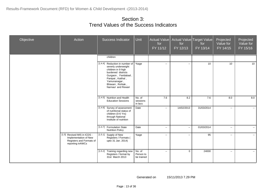| Objective | Action                                                                                                | Success Indicator                                                                                                                                                                                       | Unit                              | Actual Value<br>for<br>FY 11/12 | Actual Value<br>for<br>FY 12/13 | Target Value<br>for<br>FY 13/14 | Projected<br>Value for<br>$FY$ 14/15 | Projected<br>Value for<br>FY 15/16 |
|-----------|-------------------------------------------------------------------------------------------------------|---------------------------------------------------------------------------------------------------------------------------------------------------------------------------------------------------------|-----------------------------------|---------------------------------|---------------------------------|---------------------------------|--------------------------------------|------------------------------------|
|           |                                                                                                       | children                                                                                                                                                                                                |                                   |                                 |                                 |                                 |                                      |                                    |
|           |                                                                                                       | [1.4.4] Reduction in number of<br>severly underweight<br>children in 9 high<br>burdened districts<br>Gurgaon, Faridabad,<br>Panipat, Kaithal,<br>Yamunanagar,<br>Bhiwani, Rohtak,<br>Narnaul and Rewari | %age                              | $\sim$                          | $\sim$                          | 10                              | 10                                   | 10                                 |
|           |                                                                                                       | [1.4.5] Nutrition and Health<br><b>Education Sessions</b>                                                                                                                                               | No. of<br>sessions<br>in lacs     | 7.6                             | 8.2                             | 7.6                             | 8.0                                  | 8.0                                |
|           |                                                                                                       | [1.4.6] Survey of assessment<br>of nutritional status of<br>children (0-6 Yrs)<br>through National<br>Institute of nutrition                                                                            | Date                              | $\mathbf{u}$                    | 14/02/2013                      | 31/03/2014                      | $\overline{\phantom{a}}$             | $\sim$                             |
|           |                                                                                                       | [1.4.7] Formulation State<br><b>Nutrition Policy</b>                                                                                                                                                    | Date                              | $\mathbf{u} = \mathbf{v}$       | $\sim$                          | 01/03/2014                      | $\mathcal{L}_{\mathcal{F}}$          | $\mathbf{m}$                       |
|           | [1.5] Revised MIS in ICDS -<br>Implementation of New<br>Registers and Formats of<br>reporting in AWCs | [1.5.1] Supply of New<br>Registers / Formats (<br>upto 31 Jan. 2014)                                                                                                                                    | %age                              | $\sim$                          | $\overline{\phantom{a}}$        | 95                              | $\overline{\phantom{a}}$             | $\sim$ $\sim$                      |
|           |                                                                                                       | [1.5.2] Training regarding new<br>Registers / format by<br>31st March 2013                                                                                                                              | No. of<br>Person to<br>be trained | $\mathbb{H}^{\mathbb{Z}}$       | $\mathbf{0}$                    | 24000                           | $\mathcal{L}_{\mathcal{F}}$          | $\sim$                             |

Generated on 15/11/2013 7.29 PM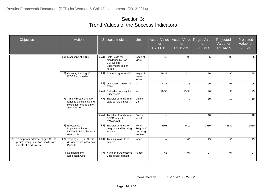| Objective                                                                                                         | Action                                                                                             | Success Indicator                                                                          | Unit                                      | <b>Actual Value</b><br>for<br>FY 11/12 | for<br>FY 12/13 | Actual Value Target Value<br>for<br>FY 13/14 | Projected<br>Value for<br>FY 14/15 | Projected<br>Value for<br>FY 15/16 |
|-------------------------------------------------------------------------------------------------------------------|----------------------------------------------------------------------------------------------------|--------------------------------------------------------------------------------------------|-------------------------------------------|----------------------------------------|-----------------|----------------------------------------------|------------------------------------|------------------------------------|
|                                                                                                                   | [1.6] Monitoring of ICDS                                                                           | [1.6.1] Field visits for<br>monitoring by Pos,<br>CDPOs and<br>Supervisors as per<br>norms | %age of<br><b>Visits</b>                  | 40                                     | 95              | 95                                           | 95                                 | 95                                 |
|                                                                                                                   | [1.7] Capacity Building of<br><b>ICDS</b> functionaries                                            | Job training for AWWs<br>[1.7.1]                                                           | %age of<br>person<br>trained              | 99.39                                  | 114             | 90                                           | 95                                 | 95                                 |
|                                                                                                                   |                                                                                                    | Orientation training for<br>[1.7.2]<br><b>AWH</b>                                          | $\sim$                                    | 80.5                                   | 73              | 90                                           | 95                                 | 95                                 |
|                                                                                                                   |                                                                                                    | [1.7.3] Refresher training for<br>Supervisors                                              | $\sim$                                    | 120.53                                 | 99.98           | 90                                           | 95                                 | 95                                 |
|                                                                                                                   | [1.8] Timely disbursement of<br>funds to the districts and<br>blocks for honorarium of<br>AWW/ AWH | [1.8.1] Transfer of funds from<br>state to field offices                                   | Date in<br>Qtr                            | $\mathbf{u}$                           | 9               | 10                                           | 10                                 | 10                                 |
|                                                                                                                   |                                                                                                    | [1.8.2] Transfer of funds from<br>CDPO office to<br>AWW/AWH                                | Date in<br>month                          | $\sim$                                 | 10              | 10                                           | 10                                 | 10                                 |
|                                                                                                                   | [1.9] Effectective<br>Implementation of<br>IGMSY in Pilot District of<br>Panchkula                 | [1.9.1] Transfer of funds to<br>pregnant and lactating<br>women                            | No. of<br>Pregnant/<br>Lactating<br>women | 5105                                   | 4419            | 3680                                         | 3680                               | 3680                               |
| To empower adolescent girls (11-18<br>$[2]$<br>years) through nutrition, health care<br>and life skill education. | [2.1] Training of POs, CDPOs<br>& Supervisors in Six Pilot<br>Districts.                           | [2.1.1]<br>Training to all Stake<br>holders                                                | %age                                      | $\sim$                                 | 80              | 95                                           | 95                                 | 95                                 |
|                                                                                                                   | [2.2] Nutrition to the<br>adolescent Girls                                                         | [2.2.1] Number of Adolescent<br><b>Girls given Nutrition</b>                               | % age                                     | 65                                     | 97              | 97                                           | 97                                 | 97                                 |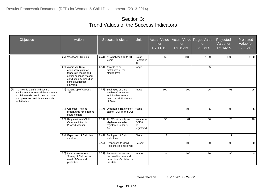| Objective                                                                                                                                                                  | Action                                                                                                                                                  | <b>Success Indicator</b>                                                                                                  | <b>Unit</b>                              | <b>Actual Value</b><br>for<br>$FY$ 11/12 | for<br>FY 12/13           | Actual Value Target Value<br>for<br>FY 13/14 | Projected<br>Value for<br>$FY$ 14/15 | Projected<br>Value for<br>FY 15/16 |
|----------------------------------------------------------------------------------------------------------------------------------------------------------------------------|---------------------------------------------------------------------------------------------------------------------------------------------------------|---------------------------------------------------------------------------------------------------------------------------|------------------------------------------|------------------------------------------|---------------------------|----------------------------------------------|--------------------------------------|------------------------------------|
|                                                                                                                                                                            | [2.3] Vocational Training                                                                                                                               | [2.3.1] AGs between 16 to 18<br>Years                                                                                     | No of<br>Beneficieri<br>es               | 963                                      | 1486                      | 1100                                         | 1100                                 | 1100                               |
|                                                                                                                                                                            | [2.4] Awards to Rural<br>adolescent girls for<br>toppers in matric and<br>senior secondary exam<br>conducted by Board of<br>school Education<br>Haryana | [2.4.1] Awards to be<br>distributed at the<br>blocks level                                                                | %age                                     | $\sim$                                   | $\mathbb{H}^{\mathbb{Z}}$ | 95                                           | $\overline{\phantom{a}}$             | $\sim$                             |
| To Provide a safe and secure<br>[3]<br>environment for overall development<br>of children who are in need of care<br>and protection and those in conflict<br>with the law. | [3.1] Setting up of CWCs&<br><b>JJB</b>                                                                                                                 | [3.1.1] Setting up of Child<br><b>Welfare Committees</b><br>and Juviline justice<br>board in all 21 districts<br>of State | %age                                     | 100                                      | 100                       | 95                                           | 95                                   | 95                                 |
|                                                                                                                                                                            | [3.2] Organise Training<br>programme for different<br>stake holders                                                                                     | Organizing Training for<br>[3.2.1]<br>staff of DCPU and CCI                                                               | %age                                     | $\sim$                                   | 100                       | 95                                           | 95                                   | 95                                 |
|                                                                                                                                                                            | [3.3] Registration of Child<br>Care Institution in<br><b>Phased Manner</b>                                                                              | [3.3.1] All CCIs to apply and<br>eligible ones to be<br>registered under JJ<br>Act.                                       | Number of<br>CCIS to<br>be<br>registered | 50                                       | 81                        | 30                                           | 25                                   | 10                                 |
|                                                                                                                                                                            | [3.4] Expansion of Child line<br>services                                                                                                               | [3.4.1] Setting up of Child<br>Help lines                                                                                 | <b>District</b>                          | $\mathbf{3}$                             | $\overline{4}$            | $\overline{1}$                               | $\mathbf{1}$                         | $\mathbf 1$                        |
|                                                                                                                                                                            |                                                                                                                                                         | [3.4.2] Responses to Child<br>Help line calls received                                                                    | Percent                                  | $\sim$                                   | 100                       | 90                                           | 90                                   | 90                                 |
|                                                                                                                                                                            | [3.5] Need Assessment<br>Survey of Children in<br>need of Care and<br>protection                                                                        | [3.5.1] Survey for assessing<br>the need for care and<br>protection of children in<br>the state                           | % age                                    | $\sim$                                   | 100                       | 90                                           | 90                                   |                                    |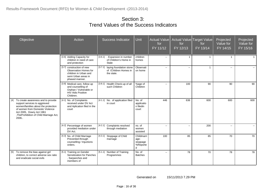| Objective                                                                                                                                                                                                                         | Action                                                                                                                 | <b>Success Indicator</b>                                                  | Unit                                       | Actual Value<br>for<br>FY 11/12 | for<br>FY 12/13 | Actual Value Target Value<br>for<br>FY 13/14 | Projected<br>Value for<br>FY 14/15 | Projected<br>Value for<br>FY 15/16 |
|-----------------------------------------------------------------------------------------------------------------------------------------------------------------------------------------------------------------------------------|------------------------------------------------------------------------------------------------------------------------|---------------------------------------------------------------------------|--------------------------------------------|---------------------------------|-----------------|----------------------------------------------|------------------------------------|------------------------------------|
|                                                                                                                                                                                                                                   | [3.6] Adding Capacity for<br>children in need of care<br>and protection                                                | . Expansion in number<br>[3.6.1]<br>of Children's Home in<br><b>State</b> | children<br>homes                          | $\sim$                          | $\overline{1}$  | $\overline{1}$                               |                                    |                                    |
|                                                                                                                                                                                                                                   | [3.7] construction of new<br>Observation Homes for<br>children in Urban and<br>semi Urban areas in<br>phased manner.   | laying foundation stone<br>[3.7.1]<br>of /Children Homes in<br>the state. | Observati<br>on home                       | $\sim$                          | $\sim$          | $\overline{1}$                               | $\overline{\phantom{a}}$           |                                    |
|                                                                                                                                                                                                                                   | [3.8] Medical care, follow up<br>and counselling of<br>Orphan / Vulnerable or<br><b>HIV Aids Positive</b><br>Children. | [3.8.1] Health Check-up of all<br>such Children                           | %age of<br>Children                        | $\sim$                          | 100             | 90                                           | 90                                 | 90                                 |
| [4] To create awareness and to provide<br>support services to aggrieved<br>women/families about the protection<br>of women from Domestic Violence<br>Act 2005, Dowry Act 1961<br>, The Prohibition of Child Marriage Act,<br>2006 | [4.1] No. of Complaints<br>received under DV Act<br>and Aplication filed in the<br>court                               | [4.1.1]<br>No. of application filed<br>in court                           | No. of<br>applicatio<br>n filedin<br>court | 446                             | 636             | 600                                          | 600                                | 600                                |
|                                                                                                                                                                                                                                   | [4.2] Percentage of women<br>provided mediation under<br>DV Act.                                                       | [4.2.1] Complaints resolved<br>through mediation                          | no. of<br>women<br>assisted                | $\mathbf{u}$                    | $\sim$          | 200                                          | $\sim$                             |                                    |
|                                                                                                                                                                                                                                   | [4.3] No. of Child Marriage<br>Prevented through<br>counselling / Injuctions<br>orders.                                | [4.3.1] Stoppage of Child<br>marriage                                     | Childmarri<br>age-<br>stoppage<br>%Reporte | 100                             | 85              | 85                                           | 70                                 | 70                                 |
| To remove the bias against girl<br>$[5]$<br>children, to correct adverse sex ratio<br>and eradicate social evils                                                                                                                  | [5.1] Training on Gender<br>Sensitization for Panches<br>. Sarpanches and<br>members of                                | [5.1.1] Number of Training<br>Programmes                                  | No. of<br><b>Batches</b>                   | $\sim$                          | 78              | 70                                           | 78                                 | 78                                 |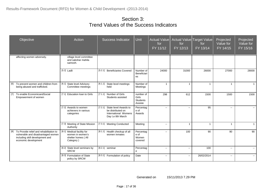| Objective                                                                                                                                       | Action                                                                            | <b>Success Indicator</b>                                                                           | Unit                                                    | <b>Actual Value</b><br>for<br>FY 11/12 | for<br>FY 12/13          | Actual Value Target Value<br>for<br>FY 13/14 | Projected<br>Value for<br>FY 14/15 | Projected<br>Value for<br>FY 15/16 |
|-------------------------------------------------------------------------------------------------------------------------------------------------|-----------------------------------------------------------------------------------|----------------------------------------------------------------------------------------------------|---------------------------------------------------------|----------------------------------------|--------------------------|----------------------------------------------|------------------------------------|------------------------------------|
| affecting women adversely.                                                                                                                      | village level committee<br>and sakshar mahila<br>samooh.                          |                                                                                                    |                                                         |                                        |                          |                                              |                                    |                                    |
|                                                                                                                                                 | $[5.2]$ Ladli                                                                     | [5.2.1] Beneficiaries Covered                                                                      | Number of<br>Beneficiari<br>es                          | 24000                                  | 31000                    | 26000                                        | 27000                              | 28000                              |
| To prevent women and children from<br>[6]<br>being abused and trafficked.                                                                       | [6.1] State level Advisory<br>Committee meetings                                  | [6.1.1] State level meetings<br>held                                                               | Number of<br>Meetings                                   | $\mathbf{1}$                           | $\overline{1}$           | $\overline{1}$                               | $\blacktriangleleft$               | $\mathbf{1}$                       |
| [7] To enable EconomicandSocial<br>Empowerment of women                                                                                         | [7.1] Education Ioan to Girls                                                     | [7.1.1] Number of Girls<br>Students assisted                                                       | number of<br><b>Girls</b><br><b>Students</b><br>Assiste | 298                                    | 612                      | 1500                                         | 1500                               | 1500                               |
|                                                                                                                                                 | [7.2] Awards to women<br>achievers in various<br>categories                       | State level Awards to<br>[7.2.1]<br>be distributed on<br>International Womens<br>Day I,e 8th March | Percentag<br>e of<br>Awards                             | $\overline{\phantom{a}}$               | $\overline{\phantom{a}}$ | 95                                           | $\overline{\phantom{a}}$           | $\sim$                             |
|                                                                                                                                                 | [7.3] Meeting of State Mission<br>Authority                                       | [7.3.1] Meeting Conducted                                                                          | Meeting                                                 | $\overline{a}$                         | 1                        | $\overline{1}$                               | -1                                 | $\mathbf{1}$                       |
| To Provide relief and rehabilitation to<br>[8]<br>vulnerable and disadvantaged women<br>including skill development and<br>economic development | [8.1] Medical facility for<br>women in women's<br>shelter homes (All<br>Category) | [8.1.1] Health checkup of all<br>women inmates                                                     | Percentag<br>e of<br>Women<br>covered                   | $\overline{\phantom{a}}$               | 100                      | 90                                           | 90                                 | 90                                 |
|                                                                                                                                                 | [8.2] State level seminars by<br><b>SRCW</b>                                      | $[8.2.1]$ seminar                                                                                  | Percentag<br>e                                          | $\mathbf{u}$                           | $\mathbf{u}$             | 100                                          | $\mathbf{u}$                       | $\sim$                             |
|                                                                                                                                                 | [8.3] Formulation of State<br>policy by SRCW                                      | [8.3.1] Formulation of policy                                                                      | Date                                                    | $\sim$                                 | $\mathbf{L}$             | 26/02/2014                                   | $\overline{\phantom{a}}$           | $\sim$                             |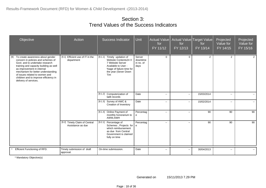| Objective                                                                                                                                                                                                                                                                                                                            | Action                                             | Success Indicator                                                                                                                                        | Unit                                    | Actual Value<br>for<br>FY 11/12 | for<br>FY 12/13             | Actual Value Target Value<br>for<br>FY 13/14 | Projected<br>Value for<br>FY 14/15 | Projected<br>Value for<br>FY 15/16 |
|--------------------------------------------------------------------------------------------------------------------------------------------------------------------------------------------------------------------------------------------------------------------------------------------------------------------------------------|----------------------------------------------------|----------------------------------------------------------------------------------------------------------------------------------------------------------|-----------------------------------------|---------------------------------|-----------------------------|----------------------------------------------|------------------------------------|------------------------------------|
| $[9]$<br>To create awareness about gender<br>concern in policies and schemes of<br>Govt, and to undertake research<br>training and capacity building as well<br>as improvement in internal<br>mechanism for better understanding<br>of issues related to women and<br>children and to improve efficiency in<br>delivery of services. | [9.1] Efficient use of IT in the<br>department     | [9.1.1] Timely updation of<br>Website Contents24 X<br>7 Website Server<br>Available to User -<br>%age of failure time for<br>the year (Sever Down<br>Tim | Server<br>downtime<br>in no. of<br>days | $\Omega$                        | $\Omega$                    | 2                                            | $\overline{2}$                     | $\overline{2}$                     |
|                                                                                                                                                                                                                                                                                                                                      |                                                    | [9.1.2] Computerization of<br>ladli records                                                                                                              | Date                                    | $\overline{a}$                  | $\sim$ $\sim$               | 15/03/2014                                   | $\overline{a}$                     |                                    |
|                                                                                                                                                                                                                                                                                                                                      |                                                    | [9.1.3] Survey of AWC &<br>Creation of Inventory                                                                                                         | Date                                    | $\sim$                          | $\mathcal{L}_{\mathcal{F}}$ | 15/02/2014                                   | --                                 | $\sim$                             |
|                                                                                                                                                                                                                                                                                                                                      |                                                    | [9.1.4] Online Payment of<br>monthly honorarium to<br>AWW,AWH                                                                                            | Percentag<br>${\bf e}$                  | $\overline{\phantom{a}}$        | $\overline{\phantom{a}}$    | 90                                           | 90                                 | 90                                 |
|                                                                                                                                                                                                                                                                                                                                      | [9.2] Timely Claim of Central<br>Assistance as due | [9.2.1]<br>Percentage of<br>Schemes, Projects for<br>which reimbursement<br>as due from Central<br>Government is claimed<br>fully on time                | Percentag<br>e                          | $\overline{\phantom{a}}$        | $\overline{\phantom{a}}$    | 90                                           | 90                                 | 90                                 |
| Efficient Functioning of RFD.                                                                                                                                                                                                                                                                                                        | Timely submission of draft<br>approval.            | On-time submisssion.                                                                                                                                     | Date                                    | $\sim$ $\sim$                   | $\sim$                      | 30/04/2013                                   | $\overline{\phantom{a}}$           |                                    |

\* Mandatory Objective(s)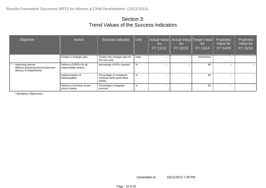| Objective                                                                           | Action                                               | Success Indicator                                                  | Unit | for<br>FY 11/12 | Actual Value   Actual Value   Target Value  <br>for<br>FY 12/13 | for<br>FY 13/14 | Projected<br>Value for<br>FY 14/15 | Projected<br>Value for<br>FY 15/16 |
|-------------------------------------------------------------------------------------|------------------------------------------------------|--------------------------------------------------------------------|------|-----------------|-----------------------------------------------------------------|-----------------|------------------------------------|------------------------------------|
|                                                                                     | Finalize a strategic plan.                           | Finalize the strategic plan for<br>the next year.                  | Date | $\sim$ $\sim$   | $\sim$ $\sim$                                                   | 25/02/2014      | $\sim$                             | $- -$                              |
| Improving internal<br>efficiency/Responsiveness/Services<br>delivery of Departments | Delivery of RFD's for all<br>responsibility centers. | percentage of RCc covered                                          | %    | $\sim$ $\sim$   | $\sim$ $\sim$                                                   | 90              | $\sim$ $\sim$                      | $\sim$ $\sim$                      |
|                                                                                     | Implementation of<br>Harsamadhan                     | Percentage of complaints<br>resolved within prescribed<br>timline. | %    | $\sim$ $\sim$   | $\sim$ $\sim$                                                   | 90              | $\sim$                             | $- -$                              |
|                                                                                     | Delivery of services as per<br>citizen charter.      | Percentage of targeted<br>services                                 | %    | $\sim$ $\sim$   | $\sim$ $\sim$                                                   | 90              | $\sim$                             | $\sim$ $\sim$                      |

\* Mandatory Objective(s)

Generated on 15/11/2013 7.29 PM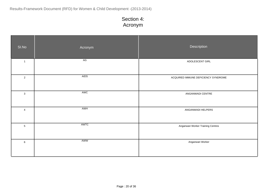| SI.No          | Acronym     | Description                         |
|----------------|-------------|-------------------------------------|
| $\overline{1}$ | AG          | ADOLESCENT GIRL                     |
| $\overline{2}$ | <b>AIDS</b> | ACQUIRED IMMUNE DEFICIENCY SYNDROME |
| $\mathbf 3$    | AWC         | ANGANWADI CENTRE                    |
| $\overline{4}$ | AWH         | ANGANWADI HELPERS                   |
| $\sqrt{5}$     | AWTC        | Anganwari Worker Training Centres   |
| $\,6\,$        | AWW         | Anganwari Worker                    |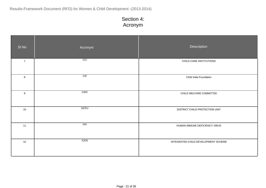| SI.No          | Acronym     | Description                         |
|----------------|-------------|-------------------------------------|
| $\overline{7}$ | CC          | CHILD CARE INSTITUTIONS             |
| $\bf8$         | CIF         | Child India Foundation              |
| 9              | CWC         | CHILD WELFARE COMMITTEE             |
| 10             | <b>DCPU</b> | DISTRICT CHILD PROTECTION UNIT      |
| 11             | HIV         | HUMAN IMMUNE DEFICIENCY VIRUS       |
| 12             | <b>ICDS</b> | INTEGRATED CHILD DEVELOPMENT SCHEME |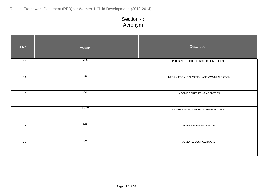| SI.No | Acronym      | Description                              |
|-------|--------------|------------------------------------------|
| 13    | <b>ICPS</b>  | INTEGRATED CHILD PROTECTION SCHEME       |
| 14    | IEC          | INFORMATION, EDUCATION AND COMMUNICATION |
| 15    | IGA          | INCOME GERERATING ACTIVITIES             |
| 16    | <b>IGMSY</b> | INDIRA GANDHI MATRITAV SEHYOG YOJNA      |
| 17    | IMR          | INFANT MORTALITY RATE                    |
| 18    | JJB          | JUVENILE JUSTICE BOARD                   |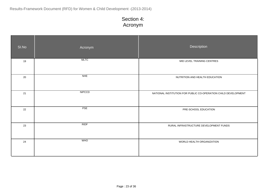| SI.No | Acronym       | Description                                                    |
|-------|---------------|----------------------------------------------------------------|
| 19    | <b>MLTC</b>   | MID LEVEL TRAINING CENTRES                                     |
| 20    | NHE           | NUTRITION AND HEALTH EDUCATION                                 |
| 21    | <b>NIPCCD</b> | NATIONAL INSTITUTION FOR PUBLIC CO-OPERATION CHILD DEVELOPMENT |
| 22    | PSE           | PRE-SCHOOL EDUCATION                                           |
| 23    | RIDF          | RURAL INFRASTRUCTURE DEVELOPMENT FUNDS                         |
| 24    | <b>WHO</b>    | WORLD HEALTH ORGANIZATION                                      |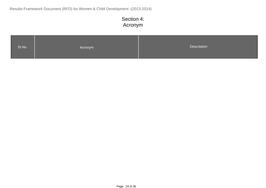| SI.No<br>Acronym | Description |
|------------------|-------------|
|------------------|-------------|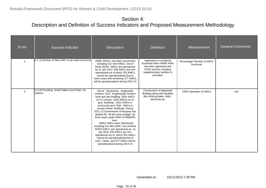| SI.No | Success indicator                                         | <b>Description</b>                                                                                                                                                                                                                                                                                                                                                                                                                                                                                                                                                                                                                                           | <b>Definition</b>                                                                                                                                  | Measurement                              | <b>General Comments</b> |
|-------|-----------------------------------------------------------|--------------------------------------------------------------------------------------------------------------------------------------------------------------------------------------------------------------------------------------------------------------------------------------------------------------------------------------------------------------------------------------------------------------------------------------------------------------------------------------------------------------------------------------------------------------------------------------------------------------------------------------------------------------|----------------------------------------------------------------------------------------------------------------------------------------------------|------------------------------------------|-------------------------|
|       | [1.1.1] Number of New AWC to be made functional           | 25962 AWCS has been sanctioned<br>including 512 mini AWCs. Out of<br>these 25332 AWCs are operational<br>as on Jan 2013, 630 AWCs are non<br>operational out of which 253 AWCs<br>cannot be operationalized due to<br>court cases and remaining 377 AWCs<br>will be operationalized during 2013-14                                                                                                                                                                                                                                                                                                                                                           | Aganwadi is considered<br>functional when AWW/ AWH<br>has been appointed and<br>ICDS services including<br>supplementary nutrition is<br>provided. | Percentage/ Number of AWCs<br>functional |                         |
| 2     | [1.3.2] Providing Small Tables and Chairs for<br>children | Out of functioning Anganwadi<br>Centers, 3147 Anganawadi Centers<br>have got own building, 3535 AWCs<br>run in schools, 1845 AWCS run in<br>govt. buildings, 9412 AWCs in<br>community and 7284 AWCs in<br>private rented Buildings. During<br>2011-12 Government of Haryana has<br>allotted Rs. 49.99 crores budget for<br>three years under RIDF of NABARD<br>loan.<br>25962 AWCs were Sanctioned<br>including 512 Mini AWC. Out of these<br>25353 AWCs are operational as on<br>jan 2013. 630 AWCs are non<br>operational out of which 253 AWCs<br>cannot be operationalized due to<br>court Cases and 377 AWCs will be<br>operationalized during 2013-14 | Construction of Aganwadi<br>Building along with facilities<br>like drinking water, toilet,<br>electricity etc                                      | 100% Operation of AWCs                   | null                    |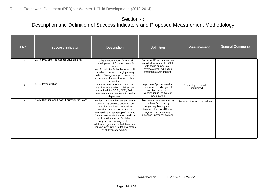| SI.No | <b>Success indicator</b>                        | <b>Description</b>                                                                                                                                                                                                                                                                                                                                                                                           | <b>Definition</b>                                                                                                                                               | Measurement                         | <b>General Comments</b> |
|-------|-------------------------------------------------|--------------------------------------------------------------------------------------------------------------------------------------------------------------------------------------------------------------------------------------------------------------------------------------------------------------------------------------------------------------------------------------------------------------|-----------------------------------------------------------------------------------------------------------------------------------------------------------------|-------------------------------------|-------------------------|
| 3     | [1.3.3] Providing Pre-School Education Kit      | To lay the foundation for overall<br>development of Children below 6<br>years.<br>Non formal. Pre School education kit<br>is to be provided through playway<br>mehod. Strengthening of pre school<br>activities and support for pre-school<br>education.                                                                                                                                                     | Pre school Education means<br>overall development of Child<br>with focus on physical,<br>psychological, educaiton<br>through playway method                     |                                     |                         |
|       | [1.4.1] Immunization                            | Immunization is one of the ICDS<br>services under which children are<br>immunized for BCG, DPT, Polio,<br>measles in coordination with health<br>department.                                                                                                                                                                                                                                                 | A process / procedure that<br>protects the body against<br>infectious diseases.<br>vaccination is the type of<br>immunization.                                  | Percentage of children<br>immunized |                         |
| 5     | [1.4.5] Nutrition and Health Education Sessions | Nutrition and health education is one<br>of six ICDS services under which<br>nutrition and health education<br>sessions are conducted for the<br>Women in the age group of 15 to 45<br>Years to educate them on nutrition<br>and health aspects of children,<br>pregrant and nursing mothers,<br>adoloscent girls etc.so that there is an<br>improvement in the nutritional status<br>of children and women. | To create awareness among<br>mothers / community<br>regarding healthy and<br>balanced food for different<br>age group, deficiency<br>diseases, personal hygiene | Number of sessions conducted        |                         |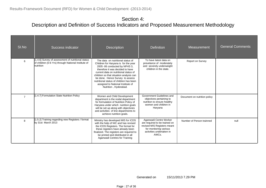| SI.No          | Success indicator                                                                                                      | <b>Description</b>                                                                                                                                                                                                                                                                                                                                                             | <b>Definition</b>                                                                                                                                     | Measurement                  | <b>General Comments</b> |
|----------------|------------------------------------------------------------------------------------------------------------------------|--------------------------------------------------------------------------------------------------------------------------------------------------------------------------------------------------------------------------------------------------------------------------------------------------------------------------------------------------------------------------------|-------------------------------------------------------------------------------------------------------------------------------------------------------|------------------------------|-------------------------|
|                | [1.4.6] Survey of assessment of nutritional status<br>of children (0-6 Yrs) through National Institute of<br>nutrition | The data on nutritional status of<br>Children for Haryana is for the year<br>2005 -06 conducted by NFHS 3,<br>therefore it was decided to have<br>current data on nutritional status of<br>children so that situation analysis can<br>be done. Hence Survey to assess<br>nutritional status of children has been<br>assigned to National Institute of<br>Nutrition, Hyderabad. | To have latest data on<br>prevelance of moderately<br>and severely underweight<br>children in the state.                                              | Report on Survey             |                         |
| $\overline{7}$ | [1.4.7] Formulation State Nutrition Policy                                                                             | Women and Child Development<br>department is the nodal department<br>for formulation of Nutrition Policy of<br>Haryana under which nutrition goals<br>will be set up along with objectivies<br>and activities of line departments to<br>achieve nutrition goals.                                                                                                               | Government Guidelines and<br>objectives pertaining to<br>nutrition to ensure healthy<br>women and children in<br>Haryana                              | Document on nutrition policy |                         |
| 8              | [1.5.2] Training regarding new Registers / format<br>by 31st March 2013                                                | Ministry has developed MIS for ICDS<br>with the help of NIC and has revised<br>the ICDS Registers. The format for<br>these registers have already been<br>finalized. The registers are required to<br>be printed and distributed in all<br>Aganwadi Centres for Training                                                                                                       | Aganwadi Centre Worker<br>are required to be trained on<br>revised MIS Registers meant<br>for monitoring various<br>activities undertaken in<br>AWCs. | Number of Person trainned    | null                    |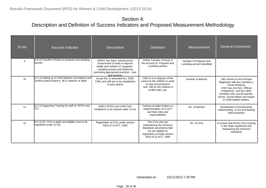| SI.No | Success indicator                                                                                         | <b>Description</b>                                                                                                                                                                             | <b>Definition</b>                                                                                                                                           | Measurement                                         | <b>General Comments</b>                                                                                                                                                                                                                   |
|-------|-----------------------------------------------------------------------------------------------------------|------------------------------------------------------------------------------------------------------------------------------------------------------------------------------------------------|-------------------------------------------------------------------------------------------------------------------------------------------------------------|-----------------------------------------------------|-------------------------------------------------------------------------------------------------------------------------------------------------------------------------------------------------------------------------------------------|
| 9     | [1.9.1] Transfer of funds to pregnant and lactating<br>women                                              | IGMSY has been introduced by<br>Government of India to improve<br>health and nutrition of pregnant,<br>Lactating women and infants by<br>promoting appropriate practices, care<br>and services | Online Transfer of funds to<br>the account of Pregnant and<br>Lactating women                                                                               | Number of Pregnant and<br>Lactating women benefited |                                                                                                                                                                                                                                           |
| 10    | [3.1.1] Setting up of Child Welfare Committees and<br>Juviline justice board in all 21 districts of State | As per the JJ amended Act, 2006,<br>CWC and JJB are to be established<br>in each district                                                                                                      | CWC is to to dispose of the<br>cases for the children in need<br>of care and protection<br>and JJB for the children in<br>conflict with Law.                | Number of districts                                 | JJB consist of one Principal<br>Magistrate with two members (<br>Social Workers)<br>CWC has one Non-Official<br>chairperson and four other<br>members who can be teacher,<br>Doctor, Social Woker and expert<br>in Child related matters. |
| 11    | [3.2.1] Organizing Training for staff of DCPU and<br>ICCI                                                 | Staff of DCPU and Child Care<br>Institutions to be trained under JJ Act                                                                                                                        | Training of stake holders on<br>implementation of JJ ACT<br>and their roles and<br>responsibilities                                                         | No. of batches                                      | Sensitization of functionaries<br>implementing JJ Act and dealing<br>child protection                                                                                                                                                     |
| 12    | [3.3.1] All CCIs to apply and eligible ones to be<br>registered under JJ Act.                             | Registration of CCIs under section<br>34(3) of JJ ACT, 2000                                                                                                                                    | The CCIs who are<br>mainataining the minimum<br>Standards pescribed under<br>Act are eligible for<br>registration of under section<br>34(3) of JJ ACT, 2000 | No. of CCIs                                         | to ensure that all the CCIs running<br>in the State registrered and<br>maintaining the minimum<br>standards                                                                                                                               |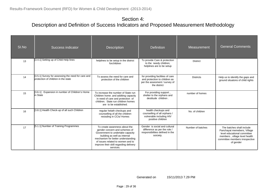| SI.No | Success indicator                                                                         | <b>Description</b>                                                                                                                                                                                                                                                   | <b>Definition</b>                                                                                                  | Measurement       | <b>General Comments</b>                                                                                                                                                 |
|-------|-------------------------------------------------------------------------------------------|----------------------------------------------------------------------------------------------------------------------------------------------------------------------------------------------------------------------------------------------------------------------|--------------------------------------------------------------------------------------------------------------------|-------------------|-------------------------------------------------------------------------------------------------------------------------------------------------------------------------|
| 13    | [3.4.1] Setting up of Child Help lines                                                    | helplines to be setup in the district<br>forchildren                                                                                                                                                                                                                 | To provide Care & protection<br>to the needy children,<br>helplines are to be setup                                | <b>District</b>   |                                                                                                                                                                         |
| 14    | [3.5.1] Survey for assessing the need for care and<br>brotection of children in the state | To assess the need for care and<br>protection of the children                                                                                                                                                                                                        | for providing facilities of care<br>and protection to children as<br>per the assesment / survey of<br>the district | <b>Districts</b>  | Help us to identify the gaps and<br>ground situatons of child rights                                                                                                    |
| 15    | [3.6.1]. Expansion in number of Children's Home<br>in State                               | To increase the number of State run<br>Children home .and additing capacity<br>in need of care and protection of<br>children. State run children homes<br>are to be established.                                                                                     | For providing support,<br>shelter to the orphans and<br>destitude children.                                        | number of homes   |                                                                                                                                                                         |
| 16    | [3.8.1] Health Check-up of all such Children                                              | regular helath checkups and<br>counselling of all the children<br>resisding in CCis/ Homes                                                                                                                                                                           | health checkups and<br>counselling of all orphans /<br>vulnerable including HIV<br>positive children               | No. of children   |                                                                                                                                                                         |
| 17    | [5.1.1] Number of Training Programmes                                                     | To create awareness about the<br>gender concern and schemes of<br>Government to undertake capacity<br>building as well as internal<br>mechanism for better understanding<br>of issues related to women and to<br>improve their skill regarding delivery<br>services. | Gender is social and cultural<br>difference as per the role /<br>responsibilities defined in the<br>soiciety.      | Number of batches | The batches shall include<br>Panchayat memebers, Village<br>level educational committee<br>members, village level health<br>committee members irrespective<br>of gender |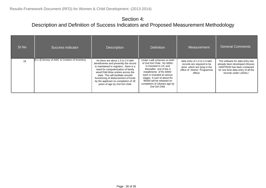| SI.No | Success indicator                             | <b>Description</b>                                                                                                                                                                                                                                                                                                                                          | <b>Definition</b>                                                                                                                                                                                                                                                                            | Measurement                                                                                                                            | <b>General Comments</b>                                                                                                                                                |
|-------|-----------------------------------------------|-------------------------------------------------------------------------------------------------------------------------------------------------------------------------------------------------------------------------------------------------------------------------------------------------------------------------------------------------------------|----------------------------------------------------------------------------------------------------------------------------------------------------------------------------------------------------------------------------------------------------------------------------------------------|----------------------------------------------------------------------------------------------------------------------------------------|------------------------------------------------------------------------------------------------------------------------------------------------------------------------|
| 18    | [9.1.3] Survey of AWC & Creation of Inventory | As there are about 1.5 to 2.0 lakh<br>beneficieries and presently the record<br>is maintained in registers, there is a<br>need for computerization of family<br>wise/Child Wise entries across the<br>state. This will facilitate smooth<br>functioning of disbursement of funds<br>by the applicant on completion of 18<br>years of age by 2nd Girl child. | Under Ladli schemes on birth<br>of 2nd Girl Child, Rs 5000/-<br>is invested in LIC and<br>thereafter rest of the 4<br>installments of Rs 5000/-<br>each is invested at various<br>stages. A sum of about Rs<br>95000 will be released on<br>completion of 18 years age by<br>2nd Girl child. | data entry of 1.5 to 2.0 lakh<br>records are required to be<br>done which are lying in the<br>office of District Programme<br>officer. | The software for data entry has<br>already been developed inhouse.<br><b>HARTRON</b> has been contacted<br>for one time data entry of all the<br>records under LADALI. |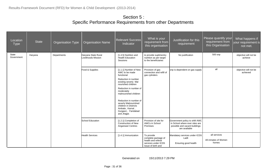| Location<br><b>Type</b> | <b>State</b> | <b>Organisation Type</b> | <b>Organisation Name</b>                  | <b>Relevant Success</b><br>Indicator                                                                                                                                                                                                                                                                                            | What is your<br>requirement from<br>this organisation                                                | Justification for this<br>requirement                                                                              | Please quantify your<br>requirement from<br>this Organisation | What happens if<br>your requirement is<br>not met. |
|-------------------------|--------------|--------------------------|-------------------------------------------|---------------------------------------------------------------------------------------------------------------------------------------------------------------------------------------------------------------------------------------------------------------------------------------------------------------------------------|------------------------------------------------------------------------------------------------------|--------------------------------------------------------------------------------------------------------------------|---------------------------------------------------------------|----------------------------------------------------|
| State<br>Government     | Haryana      | Departments              | Haryana State Rural<br>ivelihoods Mission | [1.4.5] Nutrition and<br><b>Health Education</b><br>Sessions                                                                                                                                                                                                                                                                    | to provide suplimentry<br>nutrition as per target<br>to the beneficiaries                            | No justification                                                                                                   | 500 snp                                                       | objective will not be<br>achieve                   |
|                         |              |                          | Food & Supplies                           | [1.1.1] Number of New<br>AWC to be made<br>functional<br>Reduction in number<br>existing severly Mal<br>nourished children<br>Reduction in number of<br>moderately<br>malnourished children<br>Reduction in number of<br>severly Malnourished<br>children in Districts<br>Ambala, Karnal,<br>Gurgaon, Faridabad<br>and Jhajjar. | Provision of gas<br>connection and refill of<br>gas cylinders                                        | snp is dependent on gas supply                                                                                     | all                                                           | objective will not be<br>achieved                  |
|                         |              |                          | School Education                          | [1.2.1] Completion of<br><b>Construction of New</b><br>Anganwari Centres                                                                                                                                                                                                                                                        | Provision of site for<br>AWCs in School<br>Premises                                                  | Government policy to shift AWC<br>in School where ever sites are<br>possible and vacant buildings<br>are available |                                                               |                                                    |
|                         |              |                          | <b>Health Services</b>                    | [1.4.1] Immunization                                                                                                                                                                                                                                                                                                            | To provide<br>complete package of<br>health and referal<br>services under ICDS<br>Issue of birth and | Mandatary services under ICDS<br>Ladli<br>Ensuring good health                                                     | all services<br>All inmates of Women<br>homes                 |                                                    |

Generated on 15/11/2013 7.29 PM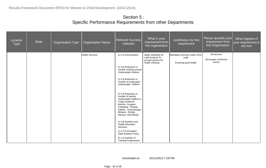| Location<br><b>Type</b> | State | <b>Organisation Type</b> | <b>Organisation Name</b> | <b>Relevant Success</b><br>Indicator                                                                                                                                                                   | What is your<br>requirement from<br>this organisation                             | Justification for this<br>requirement                          | Please quantify your<br>requirement from<br>this Organisation | What happens if<br>your requirement is<br>not met. |
|-------------------------|-------|--------------------------|--------------------------|--------------------------------------------------------------------------------------------------------------------------------------------------------------------------------------------------------|-----------------------------------------------------------------------------------|----------------------------------------------------------------|---------------------------------------------------------------|----------------------------------------------------|
|                         |       |                          | <b>Health Services</b>   | [1.4.1] Immunization                                                                                                                                                                                   | death certificate for<br>Ladli Scheme To<br>provide doctors for<br>health checkup | Mandatary services under ICDS<br>Ladli<br>Ensuring good health | all services<br>All inmates of Women<br>homes                 |                                                    |
|                         |       |                          |                          | [1.4.2] Reduction in<br>number existing severly<br>Underweight children                                                                                                                                |                                                                                   |                                                                |                                                               |                                                    |
|                         |       |                          |                          | [1.4.3] Reduction in<br>number of moderately<br>underweight children                                                                                                                                   |                                                                                   |                                                                |                                                               |                                                    |
|                         |       |                          |                          | [1.4.4] Reduction in<br>number of severly<br>underweight children in<br>9 high burdened<br>districts Gurgaon,<br>Faridabad, Panipat,<br>Kaithal, Yamunanagar<br>Bhiwani, Rohtak,<br>Narnaul and Rewari |                                                                                   |                                                                |                                                               |                                                    |
|                         |       |                          |                          | [1.4.5] Nutrition and<br><b>Health Education</b><br>Sessions                                                                                                                                           |                                                                                   |                                                                |                                                               |                                                    |
|                         |       |                          |                          | [1.4.7] Formulation<br><b>State Nutrition Policy</b>                                                                                                                                                   |                                                                                   |                                                                |                                                               |                                                    |
|                         |       |                          |                          | [5.1.1] Number of<br><b>Training Programmes</b>                                                                                                                                                        |                                                                                   |                                                                |                                                               |                                                    |

Generated on 15/11/2013 7.29 PM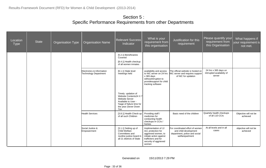| Location<br><b>Type</b> | <b>State</b> | <b>Organisation Type</b> | <b>Organisation Name</b>                                  | <b>Relevant Success</b><br>Indicator                                                                                                                    | What is your<br>requirement from<br>this organisation                                                                                                  | Justification for this<br>requirement                                                                        | Please quantify your<br>requirement from<br>this Organisation | What happens if<br>your requirement is<br>not met. |
|-------------------------|--------------|--------------------------|-----------------------------------------------------------|---------------------------------------------------------------------------------------------------------------------------------------------------------|--------------------------------------------------------------------------------------------------------------------------------------------------------|--------------------------------------------------------------------------------------------------------------|---------------------------------------------------------------|----------------------------------------------------|
|                         |              |                          |                                                           | [5.2.1] Beneficiaries<br>Covered<br>[8.4.1] Health checkup<br>of all women inmates                                                                      |                                                                                                                                                        |                                                                                                              |                                                               |                                                    |
|                         |              |                          | Electronics & Information<br><b>Technology Department</b> | [6.1.1] State level<br>meetings held                                                                                                                    | availability and access<br>to NIC server on 24 hrs<br>x 365 days<br>withoutntrruption to<br>providesupport for child<br>tracking software              | The official website is hosted on<br>NIC server and requires support<br>of NIC for updation                  | 24 hrs x 365 days un<br>intrrupted availabiity of<br>server   |                                                    |
|                         |              |                          |                                                           | Timely updation of<br>Website Contents24 X 7<br><b>Website Server</b><br>Available to User -<br>%age of failure time for<br>the year (Sever Down<br>Tim |                                                                                                                                                        |                                                                                                              |                                                               |                                                    |
|                         |              |                          | <b>Health Services</b>                                    | [3.8.1] Health Check-up<br>of all such Children                                                                                                         | Providing staff /<br>medicines for<br>conducting health<br>checkups in CCIs /<br>homes                                                                 | Basic need of the children                                                                                   | Quartely health checkups<br>of all 110 CCIs                   | Objective will not be<br>achieved                  |
|                         |              |                          | Social Justice &<br>Empowerment                           | [3.1.1] Setting up of<br>Child Welfare<br>Committees and<br>Juviline justice board in<br>all 21 districts of State                                      | Implimentation of JJ<br>Act, protection for<br>aggrieved women, to<br>initiate action against<br>traffickers and for<br>security of aggrieved<br>women | For coordinated effort of women<br>and child development<br>department, police and social<br>welfarepartment | At all levels and in all<br>cases                             | objective will not be<br>achieved                  |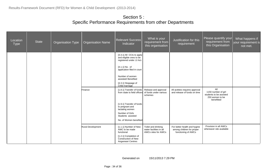| Location<br><b>Type</b> | <b>State</b> | <b>Organisation Type</b> | <b>Organisation Name</b> | <b>Relevant Success</b><br>Indicator                                               | What is your<br>requirement from<br>this organisation                 | Justification for this<br>requirement                                            | Please quantify your<br>requirement from<br>this Organisation                          | What happens if<br>your requirement is<br>not met. |
|-------------------------|--------------|--------------------------|--------------------------|------------------------------------------------------------------------------------|-----------------------------------------------------------------------|----------------------------------------------------------------------------------|----------------------------------------------------------------------------------------|----------------------------------------------------|
|                         |              |                          |                          | $[3.3.1]$ All CCIs to apply<br>and eligible ones to be<br>registered under JJ Act. |                                                                       |                                                                                  |                                                                                        |                                                    |
|                         |              |                          |                          | $[4.1.1]$ No. of<br>application filed in court                                     |                                                                       |                                                                                  |                                                                                        |                                                    |
|                         |              |                          |                          | Number of women<br>assisted/Benefited                                              |                                                                       |                                                                                  |                                                                                        |                                                    |
|                         |              |                          |                          | [4.3.1] Stoppage of<br>Child marriage                                              |                                                                       |                                                                                  |                                                                                        |                                                    |
|                         |              |                          | Finance                  | [1.8.1] Transfer of funds<br>from state to field offices                           | Release and approval<br>of funds under various<br>schemes             | All acitities requires approval<br>and release of funds on time                  | All<br>1150 number of girl<br>students to be assisted<br>250 women to be<br>benefitted |                                                    |
|                         |              |                          |                          | [1.9.1] Transfer of funds<br>to pregnant and<br>lactating women                    |                                                                       |                                                                                  |                                                                                        |                                                    |
|                         |              |                          |                          | Number of Girls<br>Students assisted                                               |                                                                       |                                                                                  |                                                                                        |                                                    |
|                         |              |                          |                          | No. of Women benefited                                                             |                                                                       |                                                                                  |                                                                                        |                                                    |
|                         |              |                          | Rural Development        | [1.1.1] Number of New<br>AWC to be made<br>functional                              | Toilet and drinking<br>water facilities in all<br>AWCs sites for AWCs | For better health and hygine<br>among children for proper<br>functioning of AWCs | Provision in all AWCs<br>whereaver site available                                      |                                                    |
|                         |              |                          |                          | [1.2.1] Completion of<br><b>Construction of New</b><br>Anganwari Centres           |                                                                       |                                                                                  |                                                                                        |                                                    |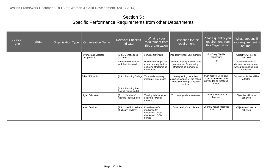| Location<br><b>Type</b> | <b>State</b> | Organisation Type | <b>Organisation Name</b>           | <b>Relevant Success</b><br>Indicator                  | What is your<br>requirement from<br>this organisation                                         | Justification for this<br>requirement                                                                 | Please quantify your<br>requirement from<br>this Organisation                             | What happens if<br>your requirement is<br>not met.                                      |
|-------------------------|--------------|-------------------|------------------------------------|-------------------------------------------------------|-----------------------------------------------------------------------------------------------|-------------------------------------------------------------------------------------------------------|-------------------------------------------------------------------------------------------|-----------------------------------------------------------------------------------------|
|                         |              |                   | Revenue and Disaster<br>Management | [5.2.1] Beneficiaries<br>Covered                      | domicile Certificate                                                                          | mendatory under Ladli Scheme                                                                          | For Every Eligible<br>beneficiary                                                         | Objective will not be<br>achieved                                                       |
|                         |              |                   |                                    | <b>Protected Monument</b><br>and Sites Covered.       | Records relating to title<br>of land are required for<br>declaring structures as<br>monuments | Records relating to title of land<br>are required for declaring<br>structures as monuments            | 100                                                                                       | Structure cannot be<br>declared as monuments<br>without completing legal<br>formalities |
|                         |              |                   | School Education                   | [1.3.1] Providing Swings                              | To provide play way<br>material, 3 way rocker                                                 | Strengthening pre school<br>activities support for pre school<br>education through play way<br>method | 3 way rockers, sea-saw,<br>super slide senior to be<br>provided to all functional<br>AWCs | Out door activities will be<br>affected                                                 |
|                         |              |                   |                                    | [1.3.3] Providing Pre-<br><b>School Education Kit</b> |                                                                                               |                                                                                                       |                                                                                           |                                                                                         |
|                         |              |                   | <b>Higher Education</b>            | [5.1.1] Number of<br><b>Training Programmes</b>       | Training infrastructure<br>(Trainers / Master<br>trainers                                     | To create gender awareness                                                                            | Master trainers for 78<br>batches                                                         | Objective willnot be<br>achieved                                                        |
|                         |              |                   | <b>Health Services</b>             | [3.8.1] Health Check-up<br>of all such Children       | Providing staff /<br>medicines for<br>conducting health<br>checkups in CCIs /<br>homes        | Basic need of the children                                                                            | Quartely health checkups<br>of all 110 CCIs                                               | Objective will not be<br>achieved                                                       |